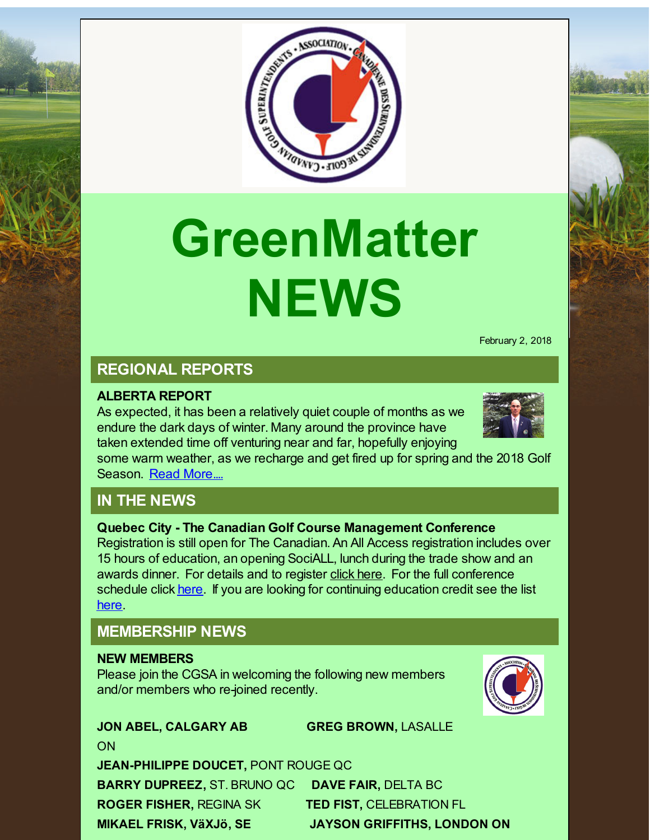

# **GreenMatter NEWS**

February 2, 2018

# **REGIONAL REPORTS**

#### **ALBERTA REPORT**

As expected, it has been a relatively quiet couple of months as we endure the dark days of winter. Many around the province have taken extended time off venturing near and far, hopefully enjoying



some warm weather, as we recharge and get fired up for spring and the 2018 Golf Season. Read [More....](http://r20.rs6.net/tn.jsp?f=001vf563G-YAPtnmoHnyMpJOJ1Gp5UiR9RWw6QCvGs6UgBf8Pjy_U5f1JF2grmYRVTP4erIykn25qmJCsxKle5bj7AJfmn4qwCYbcOhV_gRMBz2Orb2mU8nWSf_i6lrybyiwscGaebWe4NK-sBydPNM-9bmQZCwKXBdVHnr4wq86YtpZLsLllppwEmgZ2E3w-Dfj4qBKG5NcmaQ89fv4jF7wC2h4KbP_Jgd74pNOzhMeNgtKEQiPIcE4nGqxh9GmYpP&c=&ch=)

# **IN THE NEWS**

**Quebec City - The Canadian Golf Course Management Conference**

Registration is still open for The Canadian. An All Access registration includes over 15 hours of education, an opening SociALL, lunch during the trade show and an awards dinner. For details and to register click [here](http://r20.rs6.net/tn.jsp?f=001vf563G-YAPtnmoHnyMpJOJ1Gp5UiR9RWw6QCvGs6UgBf8Pjy_U5f1CqvK7gqRwGFacTepA8noHugspJM7nS3DQBcups8mkvKsiiXtBoZV02WR5shqnnFNXs_a7daCB8jhmv-0B7p6rvZlkcDHH0maGEA6oVK9eh8NEBKudUH9P6GClHRz1r-F78D4oBBlBHN&c=&ch=). For the full conference schedule click [here](http://r20.rs6.net/tn.jsp?f=001vf563G-YAPtnmoHnyMpJOJ1Gp5UiR9RWw6QCvGs6UgBf8Pjy_U5f1JF2grmYRVTPSDdZ3FMogMwmdrGVgqZ1qtC-3HVOg5T9bG4O4wHolmrjFy9z7YGrIk-m6Z_GvqSV9M_hKkcehGFt24S5TRosexE3X79ODGcpR1qpgmAoXL6gaPpvRGXs3FMa35dXVZYdR_IPvACuHjR1sshdB1_553Rud7WstCRSY1q_H960w9UwX_igBkjmXhtSyaP9-V1NB4fMwBngC2NgJwk_6BQM2Z23yYT8vu_CCr6UDlauuedWPqrbaAVuVyrGJCb2ptyM&c=&ch=). If you are looking for continuing education credit see the list [here](http://r20.rs6.net/tn.jsp?f=001vf563G-YAPtnmoHnyMpJOJ1Gp5UiR9RWw6QCvGs6UgBf8Pjy_U5f1J3cGHoGPyYNmRJH5izHAFt2-S-mBgppHDUTpnT_1iZwg5FC3OG6y29RKExssFRb4TzaNJ0wFaGutkG4doUyAGmwwZeTf8O6zerhAvs9vpkJM3Pjy9mRq8GA8HSPK7dYBDDU3OQOHJo3TAF2jLzN8rXa8Dc1Q_qeXlAzmAvvxTH3-p5d6dxapZ2Jm3eo3A1CkpYNq6YyeS0PbeVyN1_8wts=&c=&ch=).

# **MEMBERSHIP NEWS**

#### **NEW MEMBERS**

ON

Please join the CGSA in welcoming the following new members and/or members who re-joined recently.



**JEAN-PHILIPPE DOUCET,** PONT ROUGE QC **BARRY DUPREEZ,** ST. BRUNO QC **DAVE FAIR,** DELTA BC **ROGER FISHER,** REGINA SK **TED FIST,** CELEBRATION FL **MIKAEL FRISK, VäXJö, SE JAYSON GRIFFITHS, LONDON ON**

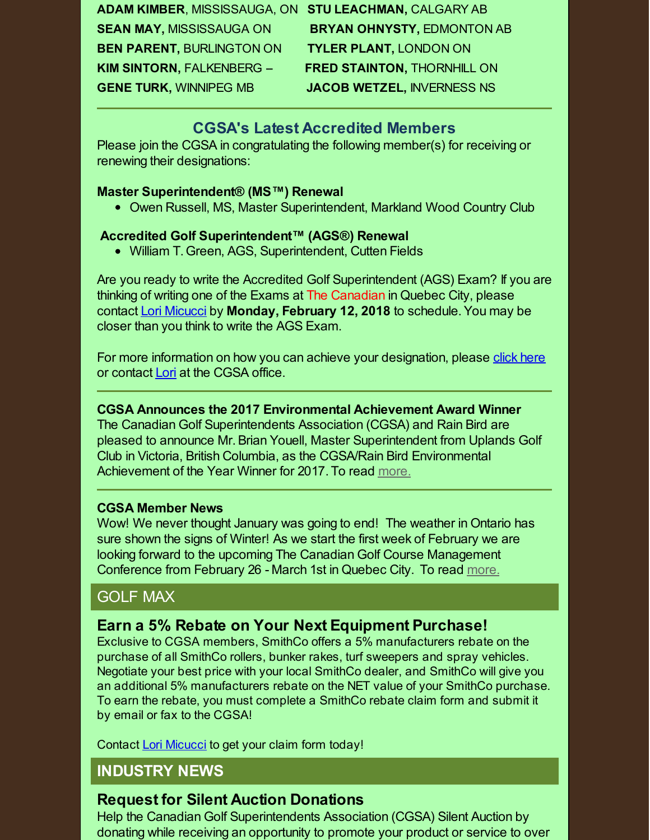**ADAM KIMBER**, MISSISSAUGA, ON **STU LEACHMAN,** CALGARY AB **SEAN MAY,** MISSISSAUGA ON **BRYAN OHNYSTY,** EDMONTON AB **BEN PARENT,** BURLINGTON ON **TYLER PLANT,** LONDON ON **KIM SINTORN,** FALKENBERG -- **FRED STAINTON,** THORNHILL ON **GENE TURK,** WINNIPEG MB **JACOB WETZEL,** INVERNESS NS

### **CGSA's Latest Accredited Members**

Please join the CGSA in congratulating the following member(s) for receiving or renewing their designations:

#### **Master Superintendent® (MS™) Renewal**

• Owen Russell, MS, Master Superintendent, Markland Wood Country Club

#### **Accredited Golf Superintendent™ (AGS®) Renewal**

William T. Green, AGS, Superintendent, Cutten Fields

Are you ready to write the Accredited Golf Superintendent (AGS) Exam? If you are thinking of writing one of the Exams at The Canadian in Quebec City, please contact Lori [Micucci](mailto:lmicucci@golfsupers.com) by **Monday, February 12, 2018** to schedule.You may be closer than you think to write the AGS Exam.

For more information on how you can achieve your designation, please click [here](http://r20.rs6.net/tn.jsp?f=001vf563G-YAPtnmoHnyMpJOJ1Gp5UiR9RWw6QCvGs6UgBf8Pjy_U5f1O2-uXGErOS6AGj4nx0UtoqqXCpZVa2_SxNabiqBVBwUGaGT3BYaut3XCJgQbJc9KwMHMuDLyUmZ9upMr9i0khQRi_QLNeJbVFD_c5MYZnE3ON1Agw9Ybf9tCtDxsOzRWyu_K2Q6IaucDl20secYNTlsFvHVc928AzJcgdrzFGi4&c=&ch=) or contact [Lori](mailto:lmicucci@golfsupers.com) at the CGSA office.

#### **CGSA Announces the 2017 Environmental Achievement Award Winner**

The Canadian Golf Superintendents Association (CGSA) and Rain Bird are pleased to announce Mr.Brian Youell, Master Superintendent from Uplands Golf Club in Victoria, British Columbia, as the CGSA/Rain Bird Environmental Achievement of the Year Winner for 2017. To read [more.](http://r20.rs6.net/tn.jsp?f=001vf563G-YAPtnmoHnyMpJOJ1Gp5UiR9RWw6QCvGs6UgBf8Pjy_U5f1JF2grmYRVTP2rBxgRoul9P5pTjFxHISnSnc5nUqGTcYuA2JLOba1YgKRbEUYjQHg_sb77fp7c5zeCOv9kNEKDL29yhU2OHTEQS3SxW8DkM9HhxEpqM0O9cfhYEuLO4P4rSyHslOJs7DNJiqtp8vgruV0lQI5rVCGLxCqVbKKZrNSKrQEqxpGXHur1jBv6hhhiV8D2qc-5ewlT-SGfNfeo7jlVr_7FUQH4Rl4SkOuCFc8ta43L3LTIA=&c=&ch=)

#### **CGSA Member News**

Wow! We never thought January was going to end! The weather in Ontario has sure shown the signs of Winter! As we start the first week of February we are looking forward to the upcoming The Canadian Golf Course Management Conference from February 26 - March 1st in Quebec City. To read [more.](http://r20.rs6.net/tn.jsp?f=001vf563G-YAPtnmoHnyMpJOJ1Gp5UiR9RWw6QCvGs6UgBf8Pjy_U5f1JF2grmYRVTPlsjYeGflNmv-z4H7NWbB4pCdo4sIjyoRgqddwUM1yB1QuVMtttDAo94UslV8hfiuuLD2u_VRXfGIv4jqADTEuNv8FmksS7IOh7vabM-SvfHLu2U490VcXF47GqwPNySda--zfpbSdbvwrNygSWBep664UxJQclGHHTYY_iUhRTT5v5A7Jb1OzTV2ahg8Z-Lt&c=&ch=)

# GOLF MAX

## **Earn a 5% Rebate on Your Next Equipment Purchase!**

Exclusive to CGSA members, SmithCo offers a 5% manufacturers rebate on the purchase of all SmithCo rollers, bunker rakes, turf sweepers and spray vehicles. Negotiate your best price with your local SmithCo dealer, and SmithCo will give you an additional 5% manufacturers rebate on the NET value of your SmithCo purchase. To earn the rebate, you must complete a SmithCo rebate claim form and submit it by email or fax to the CGSA!

Contact Lori [Micucci](mailto:lmicucci@golfsupers.com) to get your claim form today!

# **INDUSTRY NEWS**

# **Request for Silent Auction Donations**

Help the Canadian Golf Superintendents Association (CGSA) Silent Auction by donating while receiving an opportunity to promote your product or service to over